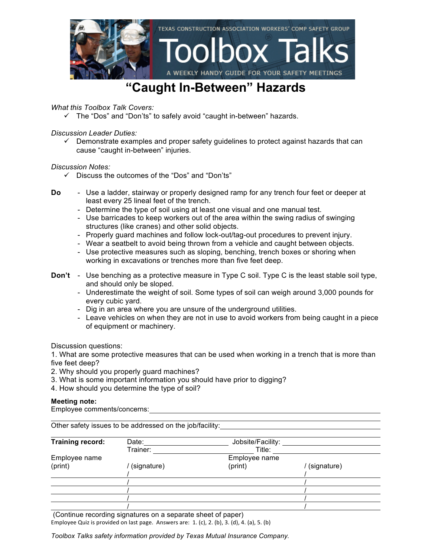

#### **"Caught In-Between" Hazards**

*What this Toolbox Talk Covers:*

 $\checkmark$  The "Dos" and "Don'ts" to safely avoid "caught in-between" hazards.

*Discussion Leader Duties:*

 $\checkmark$  Demonstrate examples and proper safety guidelines to protect against hazards that can cause "caught in-between" injuries.

*Discussion Notes:*

- $\checkmark$  Discuss the outcomes of the "Dos" and "Don'ts"
- **Do** Use a ladder, stairway or properly designed ramp for any trench four feet or deeper at least every 25 lineal feet of the trench.
	- Determine the type of soil using at least one visual and one manual test.
	- Use barricades to keep workers out of the area within the swing radius of swinging structures (like cranes) and other solid objects.
	- Properly guard machines and follow lock-out/tag-out procedures to prevent injury.
	- Wear a seatbelt to avoid being thrown from a vehicle and caught between objects.
	- Use protective measures such as sloping, benching, trench boxes or shoring when working in excavations or trenches more than five feet deep.
- **Don't** Use benching as a protective measure in Type C soil. Type C is the least stable soil type, and should only be sloped.
	- Underestimate the weight of soil. Some types of soil can weigh around 3,000 pounds for every cubic yard.
	- Dig in an area where you are unsure of the underground utilities.
	- Leave vehicles on when they are not in use to avoid workers from being caught in a piece of equipment or machinery.

Discussion questions:

1. What are some protective measures that can be used when working in a trench that is more than five feet deep?

- 2. Why should you properly guard machines?
- 3. What is some important information you should have prior to digging?
- 4. How should you determine the type of soil?

#### **Meeting note:**

Employee comments/concerns:

Other safety issues to be addressed on the job/facility:

| <b>Training record:</b> | Date:         | Jobsite/Facility: |             |
|-------------------------|---------------|-------------------|-------------|
|                         | Trainer:      | Title:            |             |
| Employee name           | Employee name |                   |             |
| (print)                 | (signature)   | (print)           | (signature) |
|                         |               |                   |             |
|                         |               |                   |             |
|                         |               |                   |             |
|                         |               |                   |             |
|                         |               |                   |             |

(Continue recording signatures on a separate sheet of paper)

Employee Quiz is provided on last page. Answers are:  $1.$  (c),  $2.$  (b),  $3.$  (d),  $4.$  (a),  $5.$  (b)

*Toolbox Talks safety information provided by Texas Mutual Insurance Company.*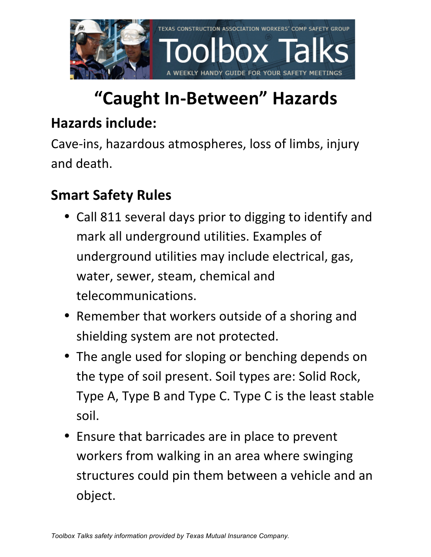

# **"Caught In-Between" Hazards**

### **Hazards include:**

Cave-ins, hazardous atmospheres, loss of limbs, injury and death.

## **Smart Safety Rules**

- Call 811 several days prior to digging to identify and mark all underground utilities. Examples of underground utilities may include electrical, gas, water, sewer, steam, chemical and telecommunications.
- Remember that workers outside of a shoring and shielding system are not protected.
- The angle used for sloping or benching depends on the type of soil present. Soil types are: Solid Rock, Type A, Type B and Type C. Type C is the least stable soil.
- Ensure that barricades are in place to prevent workers from walking in an area where swinging structures could pin them between a vehicle and an object.